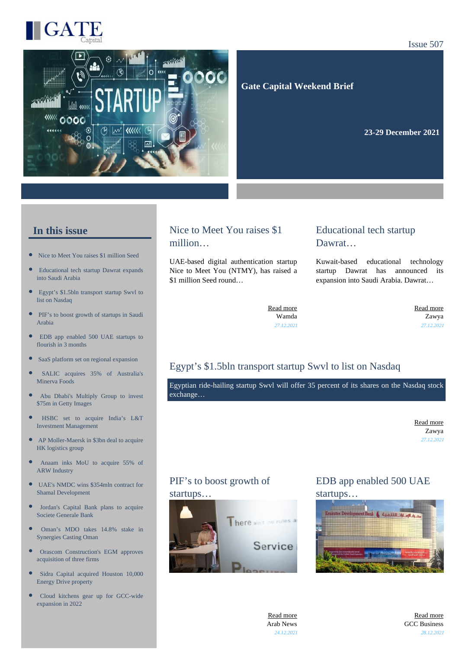

# $\overline{c}$ *<u><b>MAK* OOOC</u>

Issue 507

 **Gate Capital Weekend Brief**

**23-29 December 2021** 

#### **In this issue**

- [Nice to Meet You raises \\$1 million Seed](https://gatecapital.net/back_office/newsletters/tracking/5532/649)
- [Educational tech startup Dawrat expands](https://gatecapital.net/back_office/newsletters/tracking/5529/649) [into Saudi Arabia](https://gatecapital.net/back_office/newsletters/tracking/5529/649)
- $\bullet$ [Egypt's \\$1.5bln transport startup Swvl to](https://gatecapital.net/back_office/newsletters/tracking/5528/649) [list on Nasdaq](https://gatecapital.net/back_office/newsletters/tracking/5528/649)
- $\bullet$ [PIF's to boost growth of startups in Saudi](https://gatecapital.net/back_office/newsletters/tracking/5545/649) [Arabia](https://gatecapital.net/back_office/newsletters/tracking/5545/649)
- $\bullet$ [EDB app enabled 500 UAE startups to](https://gatecapital.net/back_office/newsletters/tracking/5537/649) [flourish in 3 months](https://gatecapital.net/back_office/newsletters/tracking/5537/649)
- [SaaS platform set on regional expansion](https://gatecapital.net/back_office/newsletters/tracking/5540/649)
- $\overline{ }$ [SALIC acquires 35% of Australia's](https://gatecapital.net/back_office/newsletters/tracking/5534/649) [Minerva Foods](https://gatecapital.net/back_office/newsletters/tracking/5534/649)
- [Abu Dhabi's Multiply Group to invest](https://gatecapital.net/back_office/newsletters/tracking/5535/649)  $\blacksquare$ [\\$75m in Getty Images](https://gatecapital.net/back_office/newsletters/tracking/5535/649)
- $\bullet$ [HSBC set to acquire India's L&T](https://gatecapital.net/back_office/newsletters/tracking/5530/649) [Investment Management](https://gatecapital.net/back_office/newsletters/tracking/5530/649)
- $\bullet$ [AP Moller-Maersk in \\$3bn deal to acquire](https://gatecapital.net/back_office/newsletters/tracking/5546/649) [HK logistics group](https://gatecapital.net/back_office/newsletters/tracking/5546/649)
- [Anaam inks MoU to acquire 55% of](https://gatecapital.net/back_office/newsletters/tracking/5533/649) [ARW Industry](https://gatecapital.net/back_office/newsletters/tracking/5533/649)
- [UAE's NMDC wins \\$354mln contract for](https://gatecapital.net/back_office/newsletters/tracking/5544/649)  $\bullet$ [Shamal Development](https://gatecapital.net/back_office/newsletters/tracking/5544/649)
- $\bullet$ [Jordan's Capital Bank plans to acquire](https://gatecapital.net/back_office/newsletters/tracking/5538/649) [Societe Generale Bank](https://gatecapital.net/back_office/newsletters/tracking/5538/649)
- $\bullet$ [Oman's MDO takes 14.8% stake in](https://gatecapital.net/back_office/newsletters/tracking/5536/649) [Synergies Casting Oman](https://gatecapital.net/back_office/newsletters/tracking/5536/649)
- $\bullet$ [Orascom Construction's EGM approves](https://gatecapital.net/back_office/newsletters/tracking/5539/649) [acquisition of three firms](https://gatecapital.net/back_office/newsletters/tracking/5539/649)
- $\bullet$ [Sidra Capital acquired Houston 10,000](https://gatecapital.net/back_office/newsletters/tracking/5541/649) [Energy Drive property](https://gatecapital.net/back_office/newsletters/tracking/5541/649)
- [Cloud kitchens gear up for GCC-wide](https://gatecapital.net/back_office/newsletters/tracking/5542/649) [expansion in 2022](https://gatecapital.net/back_office/newsletters/tracking/5542/649)

### Nice to Meet You raises \$1 million…

UAE-based digital authentication startup Nice to Meet You (NTMY), has raised a \$1 million Seed round…

#### Educational tech startup Dawrat…

Kuwait-based educational technology startup Dawrat has announced its expansion into Saudi Arabia. Dawrat…

[Read more](https://gatecapital.net/back_office/newsletters/tracking/5532/649) Wamda *27.12.2021*

[Read more](https://gatecapital.net/back_office/newsletters/tracking/5529/649) Zawya *27.12.2021*

### Egypt's \$1.5bln transport startup Swvl to list on Nasdaq

Egyptian ride-hailing startup Swvl will offer 35 percent of its shares on the Nasdaq stock exchange…

> [Read more](https://gatecapital.net/back_office/newsletters/tracking/5528/649) Zawya *27.12.2021*

# PIF's to boost growth of

#### startups…



#### EDB app enabled 500 UAE startups…



[Read more](https://gatecapital.net/back_office/newsletters/tracking/5545/649) Arab News *24.12.2021*

[Read more](https://gatecapital.net/back_office/newsletters/tracking/5537/649) GCC Business *28.12.2021*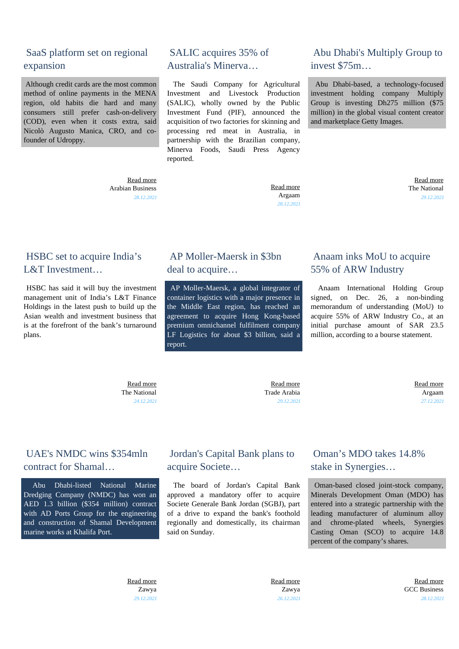#### SaaS platform set on regional expansion

 Although credit cards are the most common method of online payments in the MENA region, old habits die hard and many consumers still prefer cash-on-delivery (COD), even when it costs extra, said Nicolò Augusto Manica, CRO, and cofounder of Udroppy.

> [Read more](https://gatecapital.net/back_office/newsletters/tracking/5540/649) Arabian Business *28.12.2021*

#### SALIC acquires 35% of Australia's Minerva…

 The Saudi Company for Agricultural Investment and Livestock Production (SALIC), wholly owned by the Public Investment Fund (PIF), announced the acquisition of two factories for skinning and processing red meat in Australia, in partnership with the Brazilian company, Minerva Foods, Saudi Press Agency reported.

> [Read more](https://gatecapital.net/back_office/newsletters/tracking/5534/649) Argaam *28.12.2021*

#### Abu Dhabi's Multiply Group to invest \$75m…

 Abu Dhabi-based, a technology-focused investment holding company Multiply Group is investing Dh275 million (\$75 million) in the global visual content creator and marketplace Getty Images.

> [Read more](https://gatecapital.net/back_office/newsletters/tracking/5535/649) The National *29.12.2021*

#### HSBC set to acquire India's L&T Investment…

 HSBC has said it will buy the investment management unit of India's L&T Finance Holdings in the latest push to build up the Asian wealth and investment business that is at the forefront of the bank's turnaround plans.

#### AP Moller-Maersk in \$3bn deal to acquire…

 AP Moller-Maersk, a global integrator of container logistics with a major presence in the Middle East region, has reached an agreement to acquire Hong Kong-based premium omnichannel fulfilment company LF Logistics for about \$3 billion, said a report.

### Anaam inks MoU to acquire 55% of ARW Industry

 Anaam International Holding Group signed, on Dec. 26, a non-binding memorandum of understanding (MoU) to acquire 55% of ARW Industry Co., at an initial purchase amount of SAR 23.5 million, according to a bourse statement.

 [Read more](https://gatecapital.net/back_office/newsletters/tracking/5530/649) The National *24.12.2021*

 [Read more](https://gatecapital.net/back_office/newsletters/tracking/5546/649) Trade Arabia *29.12.2021*

 [Read more](https://gatecapital.net/back_office/newsletters/tracking/5533/649) Argaam *27.12.2021*

# UAE's NMDC wins \$354mln contract for Shamal…

 Abu Dhabi-listed National Marine Dredging Company (NMDC) has won an AED 1.3 billion (\$354 million) contract with AD Ports Group for the engineering and construction of Shamal Development marine works at Khalifa Port.

# Jordan's Capital Bank plans to acquire Societe…

 The board of Jordan's Capital Bank approved a mandatory offer to acquire Societe Generale Bank Jordan (SGBJ), part of a drive to expand the bank's foothold regionally and domestically, its chairman said on Sunday.

### Oman's MDO takes 14.8% stake in Synergies…

 Oman-based closed joint-stock company, Minerals Development Oman (MDO) has entered into a strategic partnership with the leading manufacturer of aluminum alloy and chrome-plated wheels, Synergies Casting Oman (SCO) to acquire 14.8 percent of the company's shares.

 [Read more](https://gatecapital.net/back_office/newsletters/tracking/5544/649) Zawya *29.12.2021*

 [Read more](https://gatecapital.net/back_office/newsletters/tracking/5538/649) Zawya *26.12.2021*

 [Read more](https://gatecapital.net/back_office/newsletters/tracking/5536/649) GCC Business *28.12.2021*